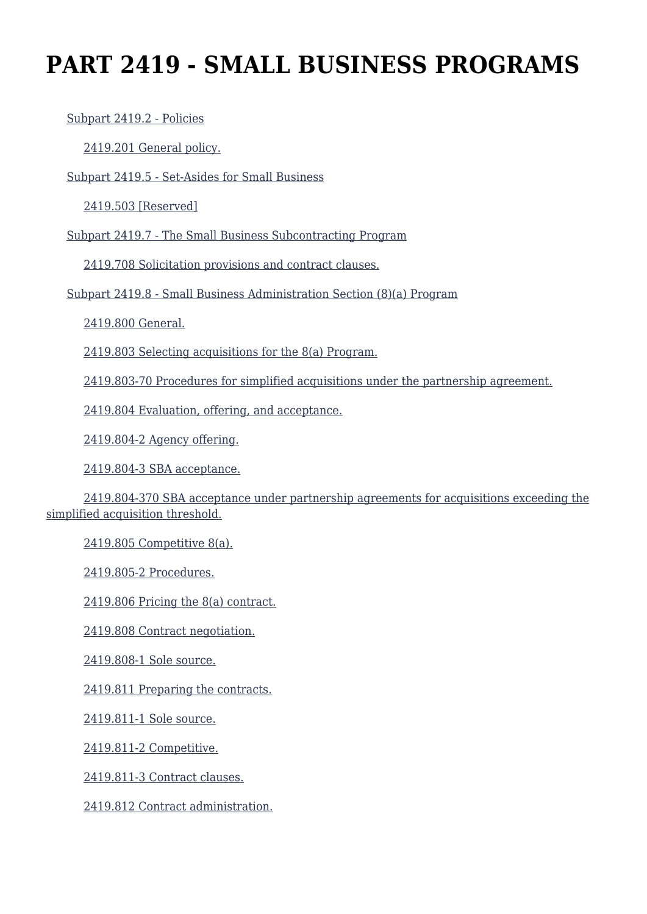# **PART 2419 - SMALL BUSINESS PROGRAMS**

[Subpart 2419.2 - Policies](https://origin-www.acquisition.gov/%5Brp:link:hudar-part-2419%5D#Subpart_2419_2_T48_60951171)

[2419.201 General policy.](https://origin-www.acquisition.gov/%5Brp:link:hudar-part-2419%5D#Section_2419_201_T48_6095117111)

[Subpart 2419.5 - Set-Asides for Small Business](https://origin-www.acquisition.gov/%5Brp:link:hudar-part-2419%5D#Subpart_2419_5_T48_60951172)

[2419.503 \[Reserved\]](https://origin-www.acquisition.gov/%5Brp:link:hudar-part-2419%5D#Section_2419_503_T48_6095117211)

[Subpart 2419.7 - The Small Business Subcontracting Program](https://origin-www.acquisition.gov/%5Brp:link:hudar-part-2419%5D#Subpart_2419_7_T48_60951173)

[2419.708 Solicitation provisions and contract clauses.](https://origin-www.acquisition.gov/%5Brp:link:hudar-part-2419%5D#Section_2419_708_T48_6095117311)

[Subpart 2419.8 - Small Business Administration Section \(8\)\(a\) Program](https://origin-www.acquisition.gov/%5Brp:link:hudar-part-2419%5D#Subpart_2419_8_T48_60951174)

[2419.800 General.](https://origin-www.acquisition.gov/%5Brp:link:hudar-part-2419%5D#Section_2419_800_T48_6095117411)

[2419.803 Selecting acquisitions for the 8\(a\) Program.](https://origin-www.acquisition.gov/%5Brp:link:hudar-part-2419%5D#Section_2419_803_T48_6095117412)

[2419.803-70 Procedures for simplified acquisitions under the partnership agreement.](https://origin-www.acquisition.gov/%5Brp:link:hudar-part-2419%5D#Section_2419_803_70_T48_6095117413)

[2419.804 Evaluation, offering, and acceptance.](https://origin-www.acquisition.gov/%5Brp:link:hudar-part-2419%5D#Section_2419_804_T48_6095117414)

[2419.804-2 Agency offering.](https://origin-www.acquisition.gov/%5Brp:link:hudar-part-2419%5D#Section_2419_804_2_T48_6095117415)

[2419.804-3 SBA acceptance.](https://origin-www.acquisition.gov/%5Brp:link:hudar-part-2419%5D#Section_2419_804_3_T48_6095117416)

 [2419.804-370 SBA acceptance under partnership agreements for acquisitions exceeding the](https://origin-www.acquisition.gov/%5Brp:link:hudar-part-2419%5D#Section_2419_804_370_T48_6095117417) [simplified acquisition threshold.](https://origin-www.acquisition.gov/%5Brp:link:hudar-part-2419%5D#Section_2419_804_370_T48_6095117417)

[2419.805 Competitive 8\(a\).](https://origin-www.acquisition.gov/%5Brp:link:hudar-part-2419%5D#Section_2419_805_T48_6095117418)

[2419.805-2 Procedures.](https://origin-www.acquisition.gov/%5Brp:link:hudar-part-2419%5D#Section_2419_805_2_T48_6095117419)

[2419.806 Pricing the 8\(a\) contract.](https://origin-www.acquisition.gov/%5Brp:link:hudar-part-2419%5D#Section_2419_806_T48_60951174110)

[2419.808 Contract negotiation.](https://origin-www.acquisition.gov/%5Brp:link:hudar-part-2419%5D#Section_2419_808_T48_60951174111)

[2419.808-1 Sole source.](https://origin-www.acquisition.gov/%5Brp:link:hudar-part-2419%5D#Section_2419_808_1_T48_60951174112)

[2419.811 Preparing the contracts.](https://origin-www.acquisition.gov/%5Brp:link:hudar-part-2419%5D#Section_2419_811_T48_60951174113)

[2419.811-1 Sole source.](https://origin-www.acquisition.gov/%5Brp:link:hudar-part-2419%5D#Section_2419_811_1_T48_60951174114)

[2419.811-2 Competitive.](https://origin-www.acquisition.gov/%5Brp:link:hudar-part-2419%5D#Section_2419_811_2_T48_60951174115)

[2419.811-3 Contract clauses.](https://origin-www.acquisition.gov/%5Brp:link:hudar-part-2419%5D#Section_2419_811_3_T48_60951174116)

[2419.812 Contract administration.](https://origin-www.acquisition.gov/%5Brp:link:hudar-part-2419%5D#Section_2419_812_T48_60951174117)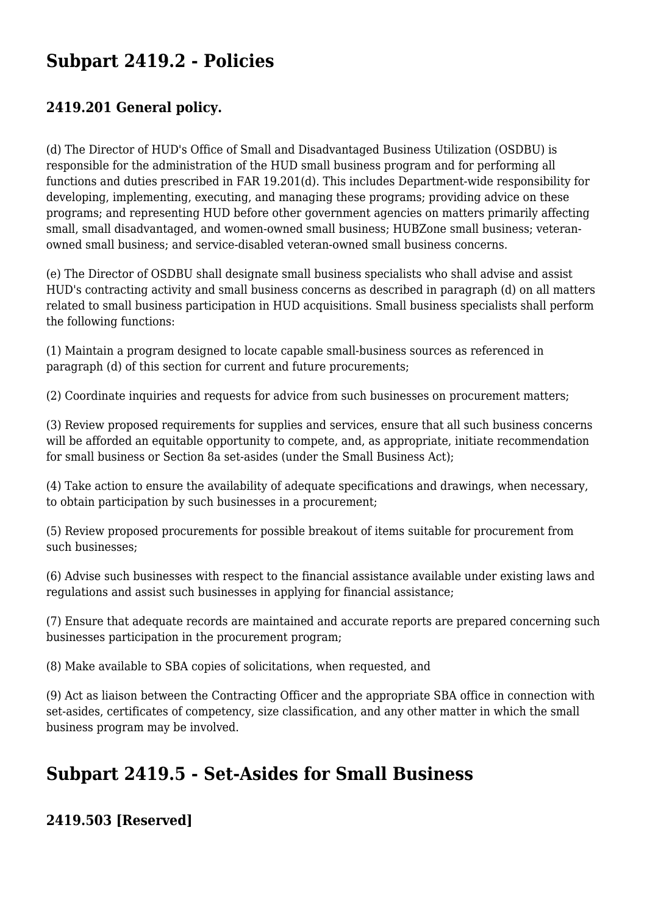# **Subpart 2419.2 - Policies**

#### **2419.201 General policy.**

(d) The Director of HUD's Office of Small and Disadvantaged Business Utilization (OSDBU) is responsible for the administration of the HUD small business program and for performing all functions and duties prescribed in FAR 19.201(d). This includes Department-wide responsibility for developing, implementing, executing, and managing these programs; providing advice on these programs; and representing HUD before other government agencies on matters primarily affecting small, small disadvantaged, and women-owned small business; HUBZone small business; veteranowned small business; and service-disabled veteran-owned small business concerns.

(e) The Director of OSDBU shall designate small business specialists who shall advise and assist HUD's contracting activity and small business concerns as described in paragraph (d) on all matters related to small business participation in HUD acquisitions. Small business specialists shall perform the following functions:

(1) Maintain a program designed to locate capable small-business sources as referenced in paragraph (d) of this section for current and future procurements;

(2) Coordinate inquiries and requests for advice from such businesses on procurement matters;

(3) Review proposed requirements for supplies and services, ensure that all such business concerns will be afforded an equitable opportunity to compete, and, as appropriate, initiate recommendation for small business or Section 8a set-asides (under the Small Business Act);

(4) Take action to ensure the availability of adequate specifications and drawings, when necessary, to obtain participation by such businesses in a procurement;

(5) Review proposed procurements for possible breakout of items suitable for procurement from such businesses;

(6) Advise such businesses with respect to the financial assistance available under existing laws and regulations and assist such businesses in applying for financial assistance;

(7) Ensure that adequate records are maintained and accurate reports are prepared concerning such businesses participation in the procurement program;

(8) Make available to SBA copies of solicitations, when requested, and

(9) Act as liaison between the Contracting Officer and the appropriate SBA office in connection with set-asides, certificates of competency, size classification, and any other matter in which the small business program may be involved.

# **Subpart 2419.5 - Set-Asides for Small Business**

#### **2419.503 [Reserved]**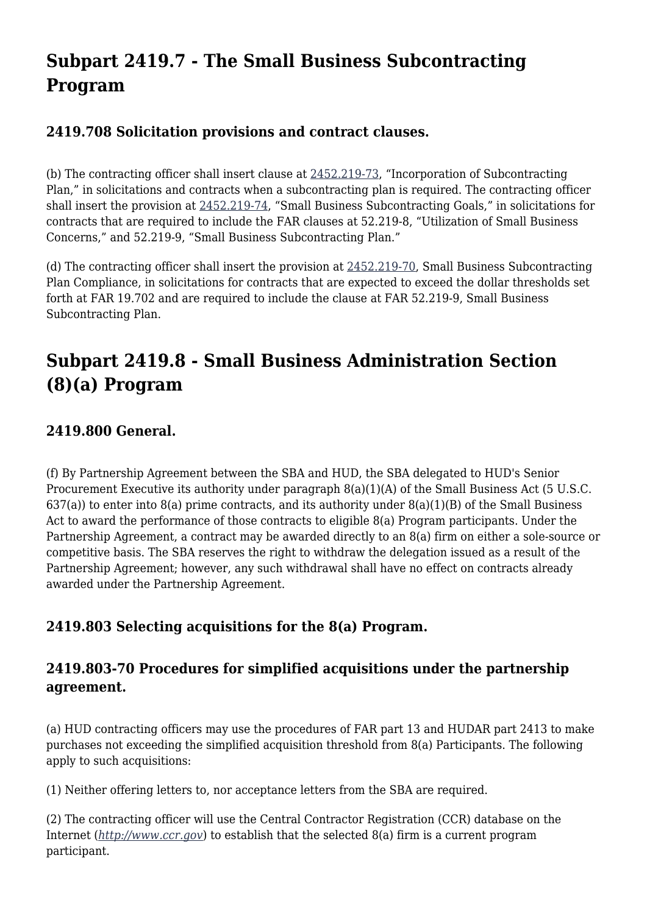# **Subpart 2419.7 - The Small Business Subcontracting Program**

#### **2419.708 Solicitation provisions and contract clauses.**

(b) The contracting officer shall insert clause at [2452.219-73,](https://origin-www.acquisition.gov/%5Brp:link:hudar-part-2452%5D#Section_2452_219_73_T48_60955371126) "Incorporation of Subcontracting Plan," in solicitations and contracts when a subcontracting plan is required. The contracting officer shall insert the provision at [2452.219-74,](https://origin-www.acquisition.gov/%5Brp:link:hudar-part-2452%5D#Section_2452_219_74_T48_60955371127) "Small Business Subcontracting Goals," in solicitations for contracts that are required to include the FAR clauses at 52.219-8, "Utilization of Small Business Concerns," and 52.219-9, "Small Business Subcontracting Plan."

(d) The contracting officer shall insert the provision at  $2452.219-70$ , Small Business Subcontracting Plan Compliance, in solicitations for contracts that are expected to exceed the dollar thresholds set forth at FAR 19.702 and are required to include the clause at FAR 52.219-9, Small Business Subcontracting Plan.

# **Subpart 2419.8 - Small Business Administration Section (8)(a) Program**

## **2419.800 General.**

(f) By Partnership Agreement between the SBA and HUD, the SBA delegated to HUD's Senior Procurement Executive its authority under paragraph 8(a)(1)(A) of the Small Business Act (5 U.S.C. 637(a)) to enter into 8(a) prime contracts, and its authority under 8(a)(1)(B) of the Small Business Act to award the performance of those contracts to eligible 8(a) Program participants. Under the Partnership Agreement, a contract may be awarded directly to an 8(a) firm on either a sole-source or competitive basis. The SBA reserves the right to withdraw the delegation issued as a result of the Partnership Agreement; however, any such withdrawal shall have no effect on contracts already awarded under the Partnership Agreement.

#### **2419.803 Selecting acquisitions for the 8(a) Program.**

#### **2419.803-70 Procedures for simplified acquisitions under the partnership agreement.**

(a) HUD contracting officers may use the procedures of FAR part 13 and HUDAR part 2413 to make purchases not exceeding the simplified acquisition threshold from 8(a) Participants. The following apply to such acquisitions:

(1) Neither offering letters to, nor acceptance letters from the SBA are required.

(2) The contracting officer will use the Central Contractor Registration (CCR) database on the Internet (*<http://www.ccr.gov>*) to establish that the selected 8(a) firm is a current program participant.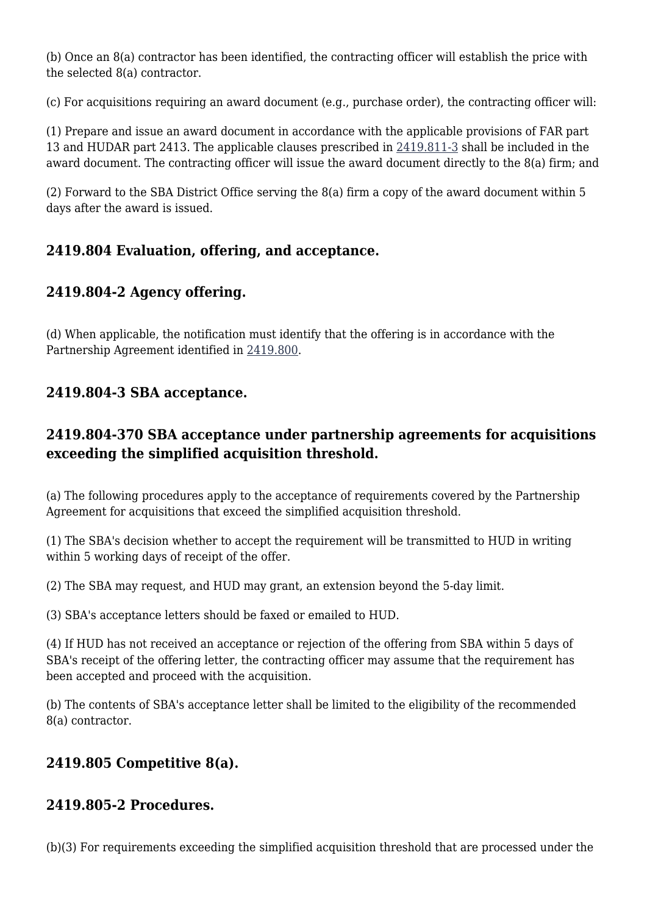(b) Once an 8(a) contractor has been identified, the contracting officer will establish the price with the selected 8(a) contractor.

(c) For acquisitions requiring an award document (e.g., purchase order), the contracting officer will:

(1) Prepare and issue an award document in accordance with the applicable provisions of FAR part 13 and HUDAR part 2413. The applicable clauses prescribed in [2419.811-3](https://origin-www.acquisition.gov/%5Brp:link:hudar-part-2419%5D#Section_2419_811_3_T48_60951174116) shall be included in the award document. The contracting officer will issue the award document directly to the 8(a) firm; and

(2) Forward to the SBA District Office serving the 8(a) firm a copy of the award document within 5 days after the award is issued.

## **2419.804 Evaluation, offering, and acceptance.**

## **2419.804-2 Agency offering.**

(d) When applicable, the notification must identify that the offering is in accordance with the Partnership Agreement identified in [2419.800](https://origin-www.acquisition.gov/%5Brp:link:hudar-part-2419%5D#Section_2419_800_T48_6095117411).

## **2419.804-3 SBA acceptance.**

## **2419.804-370 SBA acceptance under partnership agreements for acquisitions exceeding the simplified acquisition threshold.**

(a) The following procedures apply to the acceptance of requirements covered by the Partnership Agreement for acquisitions that exceed the simplified acquisition threshold.

(1) The SBA's decision whether to accept the requirement will be transmitted to HUD in writing within 5 working days of receipt of the offer.

(2) The SBA may request, and HUD may grant, an extension beyond the 5-day limit.

(3) SBA's acceptance letters should be faxed or emailed to HUD.

(4) If HUD has not received an acceptance or rejection of the offering from SBA within 5 days of SBA's receipt of the offering letter, the contracting officer may assume that the requirement has been accepted and proceed with the acquisition.

(b) The contents of SBA's acceptance letter shall be limited to the eligibility of the recommended 8(a) contractor.

# **2419.805 Competitive 8(a).**

## **2419.805-2 Procedures.**

(b)(3) For requirements exceeding the simplified acquisition threshold that are processed under the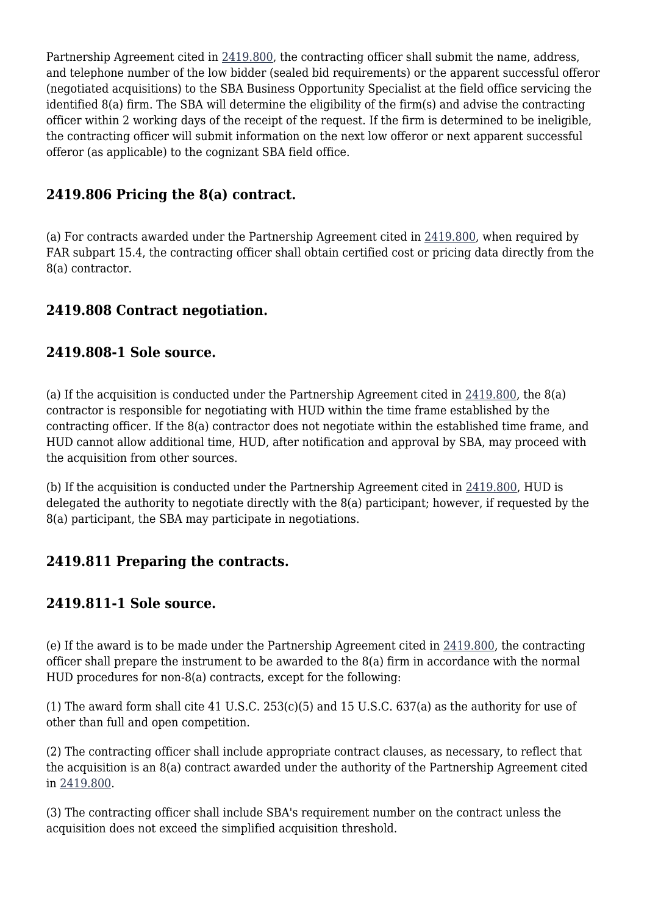Partnership Agreement cited in [2419.800](https://origin-www.acquisition.gov/%5Brp:link:hudar-part-2419%5D#Section_2419_800_T48_6095117411), the contracting officer shall submit the name, address, and telephone number of the low bidder (sealed bid requirements) or the apparent successful offeror (negotiated acquisitions) to the SBA Business Opportunity Specialist at the field office servicing the identified 8(a) firm. The SBA will determine the eligibility of the firm(s) and advise the contracting officer within 2 working days of the receipt of the request. If the firm is determined to be ineligible, the contracting officer will submit information on the next low offeror or next apparent successful offeror (as applicable) to the cognizant SBA field office.

#### **2419.806 Pricing the 8(a) contract.**

(a) For contracts awarded under the Partnership Agreement cited in [2419.800,](https://origin-www.acquisition.gov/%5Brp:link:hudar-part-2419%5D#Section_2419_800_T48_6095117411) when required by FAR subpart 15.4, the contracting officer shall obtain certified cost or pricing data directly from the 8(a) contractor.

#### **2419.808 Contract negotiation.**

#### **2419.808-1 Sole source.**

(a) If the acquisition is conducted under the Partnership Agreement cited in [2419.800](https://origin-www.acquisition.gov/%5Brp:link:hudar-part-2419%5D#Section_2419_800_T48_6095117411), the 8(a) contractor is responsible for negotiating with HUD within the time frame established by the contracting officer. If the 8(a) contractor does not negotiate within the established time frame, and HUD cannot allow additional time, HUD, after notification and approval by SBA, may proceed with the acquisition from other sources.

(b) If the acquisition is conducted under the Partnership Agreement cited in [2419.800,](https://origin-www.acquisition.gov/%5Brp:link:hudar-part-2419%5D#Section_2419_800_T48_6095117411) HUD is delegated the authority to negotiate directly with the 8(a) participant; however, if requested by the 8(a) participant, the SBA may participate in negotiations.

#### **2419.811 Preparing the contracts.**

#### **2419.811-1 Sole source.**

(e) If the award is to be made under the Partnership Agreement cited in [2419.800](https://origin-www.acquisition.gov/%5Brp:link:hudar-part-2419%5D#Section_2419_800_T48_6095117411), the contracting officer shall prepare the instrument to be awarded to the 8(a) firm in accordance with the normal HUD procedures for non-8(a) contracts, except for the following:

(1) The award form shall cite 41 U.S.C. 253(c)(5) and 15 U.S.C. 637(a) as the authority for use of other than full and open competition.

(2) The contracting officer shall include appropriate contract clauses, as necessary, to reflect that the acquisition is an 8(a) contract awarded under the authority of the Partnership Agreement cited in [2419.800](https://origin-www.acquisition.gov/%5Brp:link:hudar-part-2419%5D#Section_2419_800_T48_6095117411).

(3) The contracting officer shall include SBA's requirement number on the contract unless the acquisition does not exceed the simplified acquisition threshold.